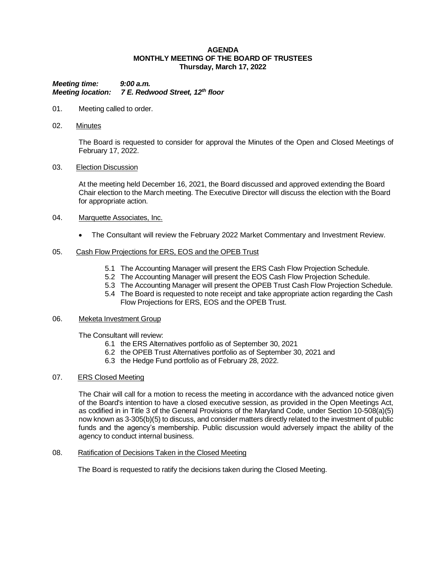### **AGENDA MONTHLY MEETING OF THE BOARD OF TRUSTEES Thursday, March 17, 2022**

*Meeting time: 9:00 a.m. Meeting location: 7 E. Redwood Street, 12th floor*

- 01. Meeting called to order.
- 02. Minutes

The Board is requested to consider for approval the Minutes of the Open and Closed Meetings of February 17, 2022.

### 03. Election Discussion

At the meeting held December 16, 2021, the Board discussed and approved extending the Board Chair election to the March meeting. The Executive Director will discuss the election with the Board for appropriate action.

### 04. Marquette Associates, Inc.

• The Consultant will review the February 2022 Market Commentary and Investment Review.

### 05. Cash Flow Projections for ERS, EOS and the OPEB Trust

- 5.1 The Accounting Manager will present the ERS Cash Flow Projection Schedule.
- 5.2 The Accounting Manager will present the EOS Cash Flow Projection Schedule.
- 5.3 The Accounting Manager will present the OPEB Trust Cash Flow Projection Schedule.
- 5.4 The Board is requested to note receipt and take appropriate action regarding the Cash Flow Projections for ERS, EOS and the OPEB Trust.

#### 06. Meketa Investment Group

The Consultant will review:

- 6.1 the ERS Alternatives portfolio as of September 30, 2021
- 6.2 the OPEB Trust Alternatives portfolio as of September 30, 2021 and
- 6.3 the Hedge Fund portfolio as of February 28, 2022.

## 07. ERS Closed Meeting

The Chair will call for a motion to recess the meeting in accordance with the advanced notice given of the Board's intention to have a closed executive session, as provided in the Open Meetings Act, as codified in in Title 3 of the General Provisions of the Maryland Code, under Section 10-508(a)(5) now known as 3-305(b)(5) to discuss, and consider matters directly related to the investment of public funds and the agency's membership. Public discussion would adversely impact the ability of the agency to conduct internal business.

# 08. Ratification of Decisions Taken in the Closed Meeting

The Board is requested to ratify the decisions taken during the Closed Meeting.